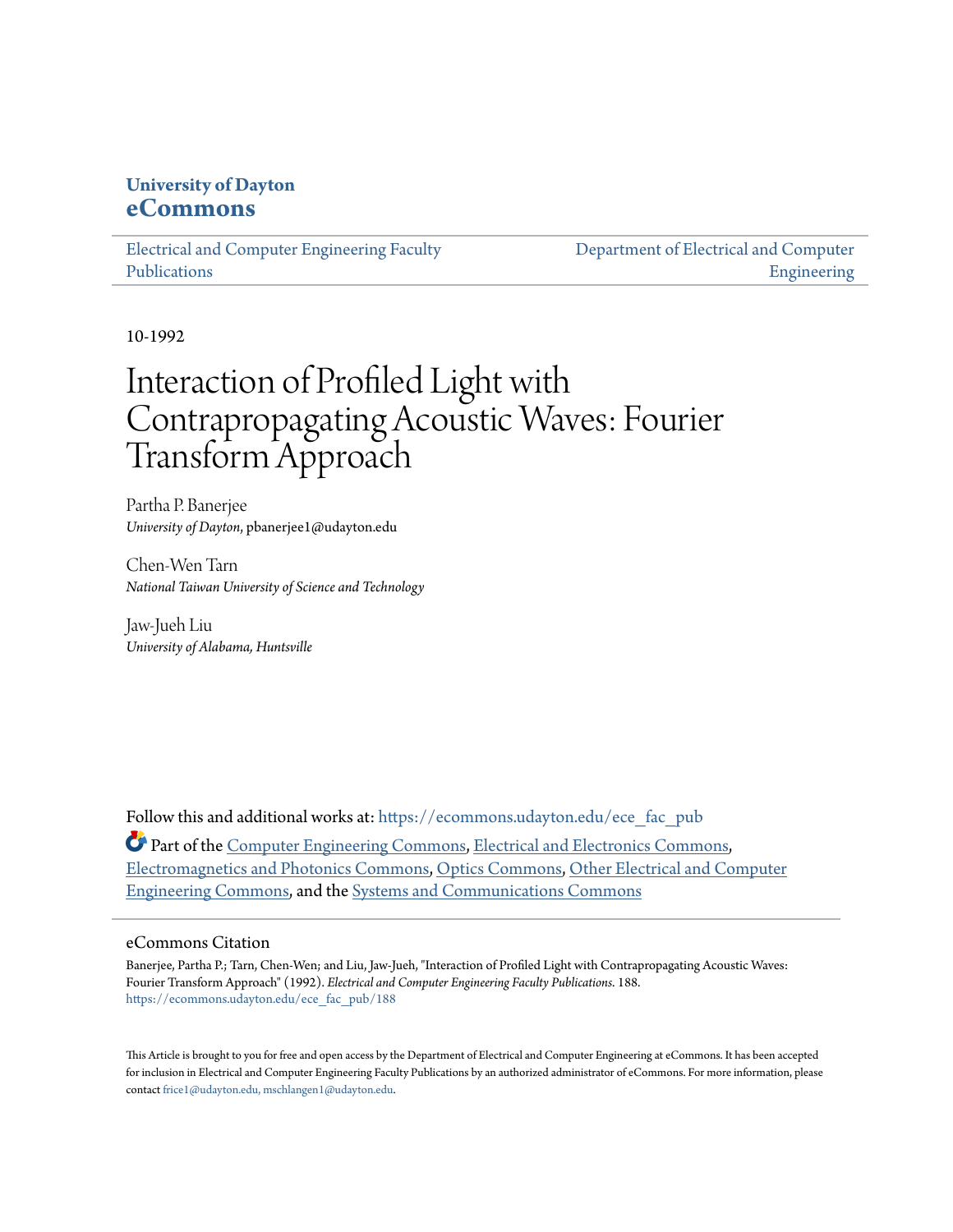# **University of Dayton [eCommons](https://ecommons.udayton.edu?utm_source=ecommons.udayton.edu%2Fece_fac_pub%2F188&utm_medium=PDF&utm_campaign=PDFCoverPages)**

[Electrical and Computer Engineering Faculty](https://ecommons.udayton.edu/ece_fac_pub?utm_source=ecommons.udayton.edu%2Fece_fac_pub%2F188&utm_medium=PDF&utm_campaign=PDFCoverPages) [Publications](https://ecommons.udayton.edu/ece_fac_pub?utm_source=ecommons.udayton.edu%2Fece_fac_pub%2F188&utm_medium=PDF&utm_campaign=PDFCoverPages)

[Department of Electrical and Computer](https://ecommons.udayton.edu/ece?utm_source=ecommons.udayton.edu%2Fece_fac_pub%2F188&utm_medium=PDF&utm_campaign=PDFCoverPages) [Engineering](https://ecommons.udayton.edu/ece?utm_source=ecommons.udayton.edu%2Fece_fac_pub%2F188&utm_medium=PDF&utm_campaign=PDFCoverPages)

10-1992

# Interaction of Profiled Light with Contrapropagating Acoustic Waves: Fourier Transform Approach

Partha P. Banerjee *University of Dayton*, pbanerjee1@udayton.edu

Chen-Wen Tarn *National Taiwan University of Science and Technology*

Jaw-Jueh Liu *University of Alabama, Huntsville*

Follow this and additional works at: [https://ecommons.udayton.edu/ece\\_fac\\_pub](https://ecommons.udayton.edu/ece_fac_pub?utm_source=ecommons.udayton.edu%2Fece_fac_pub%2F188&utm_medium=PDF&utm_campaign=PDFCoverPages) Part of the [Computer Engineering Commons,](http://network.bepress.com/hgg/discipline/258?utm_source=ecommons.udayton.edu%2Fece_fac_pub%2F188&utm_medium=PDF&utm_campaign=PDFCoverPages) [Electrical and Electronics Commons](http://network.bepress.com/hgg/discipline/270?utm_source=ecommons.udayton.edu%2Fece_fac_pub%2F188&utm_medium=PDF&utm_campaign=PDFCoverPages), [Electromagnetics and Photonics Commons,](http://network.bepress.com/hgg/discipline/271?utm_source=ecommons.udayton.edu%2Fece_fac_pub%2F188&utm_medium=PDF&utm_campaign=PDFCoverPages) [Optics Commons](http://network.bepress.com/hgg/discipline/204?utm_source=ecommons.udayton.edu%2Fece_fac_pub%2F188&utm_medium=PDF&utm_campaign=PDFCoverPages), [Other Electrical and Computer](http://network.bepress.com/hgg/discipline/278?utm_source=ecommons.udayton.edu%2Fece_fac_pub%2F188&utm_medium=PDF&utm_campaign=PDFCoverPages) [Engineering Commons,](http://network.bepress.com/hgg/discipline/278?utm_source=ecommons.udayton.edu%2Fece_fac_pub%2F188&utm_medium=PDF&utm_campaign=PDFCoverPages) and the [Systems and Communications Commons](http://network.bepress.com/hgg/discipline/276?utm_source=ecommons.udayton.edu%2Fece_fac_pub%2F188&utm_medium=PDF&utm_campaign=PDFCoverPages)

# eCommons Citation

Banerjee, Partha P.; Tarn, Chen-Wen; and Liu, Jaw-Jueh, "Interaction of Profiled Light with Contrapropagating Acoustic Waves: Fourier Transform Approach" (1992). *Electrical and Computer Engineering Faculty Publications*. 188. [https://ecommons.udayton.edu/ece\\_fac\\_pub/188](https://ecommons.udayton.edu/ece_fac_pub/188?utm_source=ecommons.udayton.edu%2Fece_fac_pub%2F188&utm_medium=PDF&utm_campaign=PDFCoverPages)

This Article is brought to you for free and open access by the Department of Electrical and Computer Engineering at eCommons. It has been accepted for inclusion in Electrical and Computer Engineering Faculty Publications by an authorized administrator of eCommons. For more information, please contact [frice1@udayton.edu, mschlangen1@udayton.edu.](mailto:frice1@udayton.edu,%20mschlangen1@udayton.edu)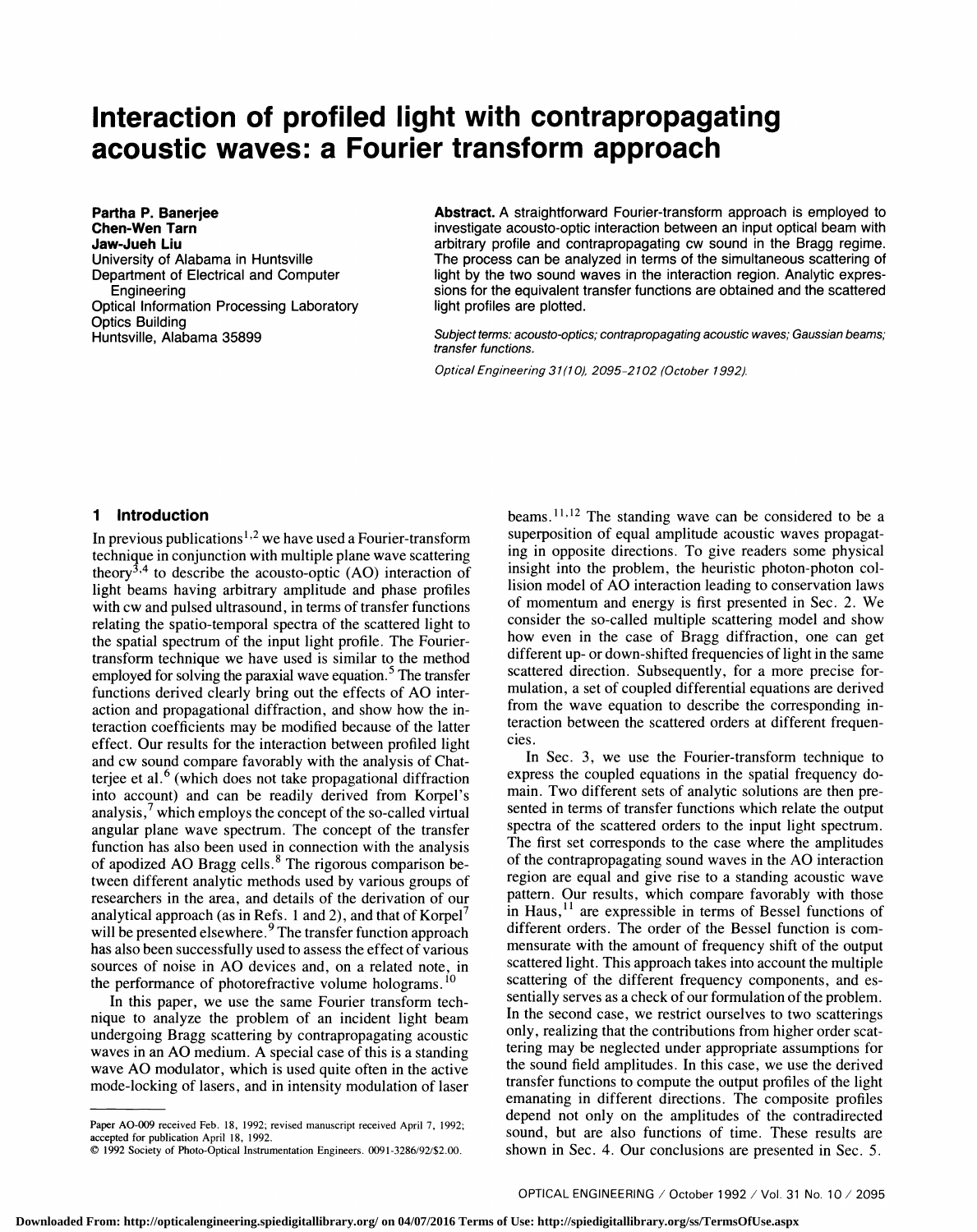# Interaction of profiled light with contrapropagating acoustic waves: a Fourier transform approach

Partha P. Banerjee Chen-Wen Tarn Jaw-Jueh Liu University of Alabama in Huntsville Department of Electrical and Computer Engineering Optical Information Processing Laboratory Optics Building Huntsville, Alabama 35899

Abstract. A straightforward Fourier-transform approach is employed to investigate acousto-optic interaction between an input optical beam with arbitrary profile and contrapropagating cw sound in the Bragg regime. The process can be analyzed in terms of the simultaneous scattering of light by the two sound waves in the interaction region. Analytic expressions for the equivalent transfer functions are obtained and the scattered light profiles are plotted.

Subject terms: acousto-optics; contrapropagating acoustic waves; Gaussian beams; transfer functions.

Optical Engineering 31(1 0), 2095-2 102 (October 1992).

# 1 Introduction

In previous publications<sup>1,2</sup> we have used a Fourier-transform technique in conjunction with multiple plane wave scattering theory<sup>3,4</sup> to describe the acousto-optic (AO) interaction of light beams having arbitrary amplitude and phase profiles with cw and pulsed ultrasound, in terms of transfer functions relating the spatio-temporal spectra of the scattered light to the spatial spectrum of the input light profile. The Fouriertransform technique we have used is similar to the method employed for solving the paraxial wave equation.<sup>5</sup> The transfer functions derived clearly bring out the effects of AO interaction and propagational diffraction, and show how the interaction coefficients may be modified because of the latter effect. Our results for the interaction between profiled light and cw sound compare favorably with the analysis of Chatterjee et al.<sup>6</sup> (which does not take propagational diffraction express the coupled equations in the spatial frequency dointo account) and can be readily derived from Korpel's analysis,<sup>7</sup> which employs the concept of the so-called virtual angular plane wave spectrum. The concept of the transfer function has also been used in connection with the analysis of apodized AO Bragg cells. $8$  The rigorous comparison between different analytic methods used by various groups of researchers in the area, and details of the derivation of our analytical approach (as in Refs. 1 and 2), and that of  $Korpel$ <sup>7</sup> will be presented elsewhere.<sup>9</sup> The transfer function approach has also been successfully used to assess the effect of various sources of noise in AO devices and, on a related note, in the performance of photorefractive volume holograms.<sup>10</sup>

In this paper, we use the same Fourier transform technique to analyze the problem of an incident light beam undergoing Bragg scattering by contrapropagating acoustic waves in an AO medium. A special case of this is a standing wave AO modulator, which is used quite often in the active mode-locking of lasers, and in intensity modulation of laser

beams.  $11,12$  The standing wave can be considered to be a superposition of equal amplitude acoustic waves propagating in opposite directions. To give readers some physical insight into the problem, the heuristic photon-photon collision model of AO interaction leading to conservation laws of momentum and energy is first presented in Sec . 2 . We consider the so-called multiple scattering model and show how even in the case of Bragg diffraction, one can get different up- or down-shifted frequencies of light in the same scattered direction. Subsequently, for a more precise formulation, a set of coupled differential equations are derived from the wave equation to describe the corresponding interaction between the scattered orders at different frequencies.

In Sec. 3, we use the Fourier-transform technique to main. Two different sets of analytic solutions are then presented in terms of transfer functions which relate the output spectra of the scattered orders to the input light spectrum. The first set corresponds to the case where the amplitudes of the contrapropagating sound waves in the AO interaction region are equal and give rise to a standing acoustic wave pattern. Our results, which compare favorably with those in Haus, $^{11}$  are expressible in terms of Bessel functions of different orders. The order of the Bessel function is commensurate with the amount of frequency shift of the output scattered light. This approach takes into account the multiple scattering of the different frequency components, and essentially serves as a check of our formulation of the problem. In the second case, we restrict ourselves to two scatterings only, realizing that the contributions from higher order scattering may be neglected under appropriate assumptions for the sound field amplitudes. In this case, we use the derived transfer functions to compute the output profiles of the light emanating in different directions . The composite profiles depend not only on the amplitudes of the contradirected sound, but are also functions of time. These results are shown in Sec. 4. Our conclusions are presented in Sec. 5.

Paper AO-009 received Feb. 18, 1992; revised manuscript received April 7, 1992; accepted for publication April 18, 1992.

<sup>1992</sup> Society of Photo-Optical Instrumentation Engineers. 009l-3286/92/\$2.OO.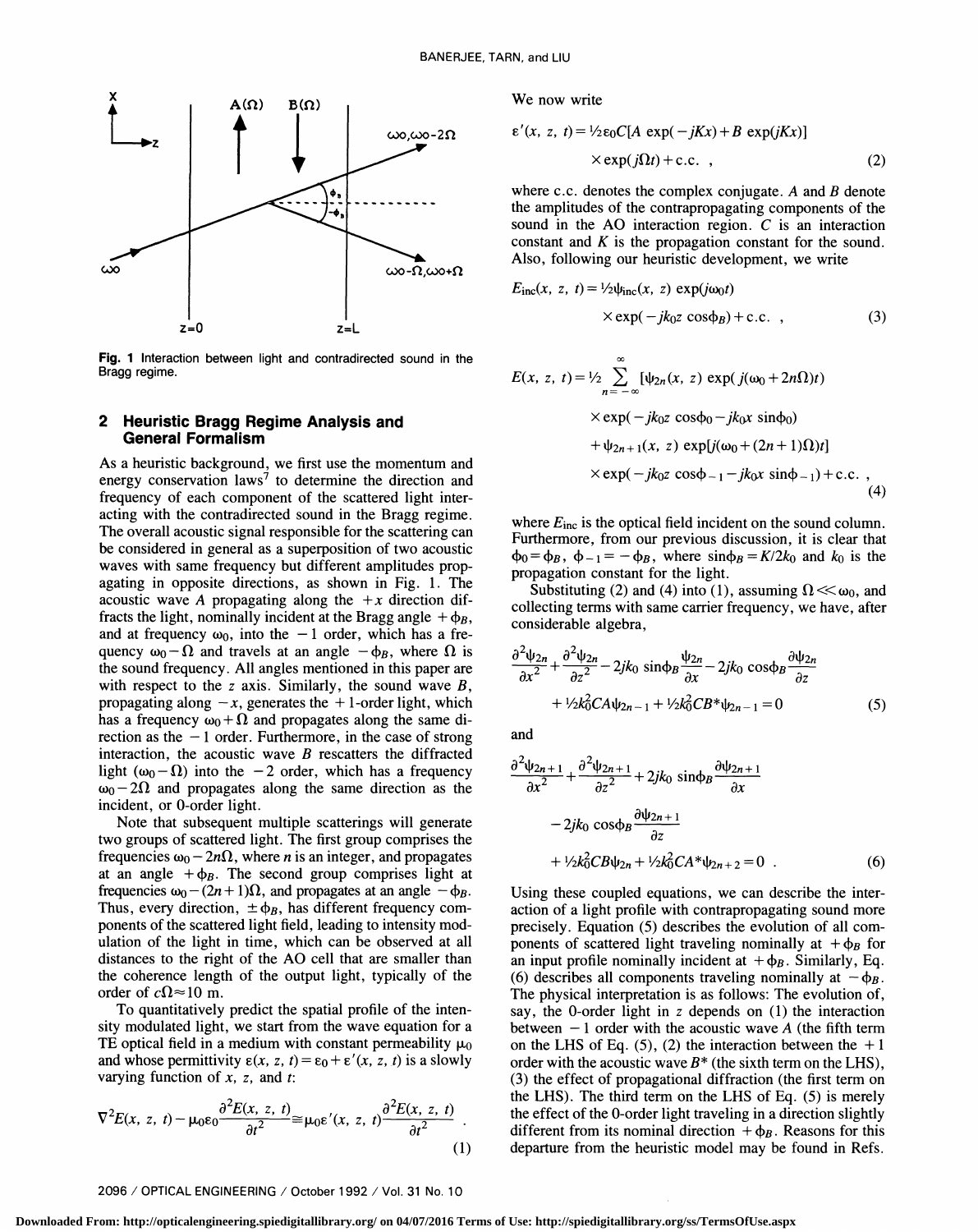

Fig. 1 Interaction between light and contradirected sound in the Bragg regime.

# 2 Heuristic Bragg Regime Analysis and General Formalism

As a heuristic background, we first use the momentum and energy conservation laws<sup>7</sup> to determine the direction and frequency of each component of the scattered light interacting with the contradirected sound in the Bragg regime. The overall acoustic signal responsible for the scattering can be considered in general as a superposition of two acoustic  $\phi_0 = \phi_B$ ,  $\phi_{-1} = -\phi_B$ , where  $\sin \phi_B = K/2k_0$  and  $k_0$  is the waves with same frequency but different amplitudes propagating in opposite directions, as shown in Fig. 1. The acoustic wave A propagating along the  $+x$  direction diffracts the light, nominally incident at the Bragg angle  $+\phi_B$ , and at frequency  $\omega_0$ , into the  $-1$  order, which has a frequency  $\omega_0 - \Omega$  and travels at an angle  $-\phi_B$ , where  $\Omega$  is the sound frequency. All angles mentioned in this paper are with respect to the z axis. Similarly, the sound wave  $B$ , propagating along  $-x$ , generates the  $+1$ -order light, which has a frequency  $\omega_0 + \Omega$  and propagates along the same direction as the  $-1$  order. Furthermore, in the case of strong interaction, the acoustic wave  $B$  rescatters the diffracted light ( $\omega_0 - \Omega$ ) into the -2 order, which has a frequency  $\omega_0$  – 2 $\Omega$  and propagates along the same direction as the incident, or 0-order light.

Note that subsequent multiple scatterings will generate two groups of scattered light. The first group comprises the frequencies  $\omega_0 - 2n\Omega$ , where *n* is an integer, and propagates at an angle  $+\phi_B$ . The second group comprises light at frequencies  $\omega_0 - (2n + 1)\Omega$ , and propagates at an angle  $-\phi_B$ . Thus, every direction,  $\pm \phi_B$ , has different frequency components of the scattered light field, leading to intensity modulation of the light in time, which can be observed at all distances to the right of the AO cell that are smaller than the coherence length of the output light, typically of the order of  $c\Omega \approx 10$  m.

To quantitatively predict the spatial profile of the intensity modulated light, we start from the wave equation for a TE optical field in a medium with constant permeability  $\mu_0$ and whose permittivity  $\varepsilon(x, z, t) = \varepsilon_0 + \varepsilon'(x, z, t)$  is a slowly varying function of  $x$ ,  $z$ , and  $t$ :

$$
\nabla^2 E(x, z, t) - \mu_0 \varepsilon_0 \frac{\partial^2 E(x, z, t)}{\partial t^2} \cong \mu_0 \varepsilon'(x, z, t) \frac{\partial^2 E(x, z, t)}{\partial t^2}.
$$
 (1)

We now write

$$
\varepsilon'(x, z, t) = \frac{1}{2}\varepsilon_0 C[A \exp(-jKx) + B \exp(jKx)]
$$
  
× $\exp(j\Omega t) + c.c.$ , (2)

where c.c. denotes the complex conjugate. A and  $B$  denote the amplitudes of the contrapropagating components of the sound in the AO interaction region.  $C$  is an interaction constant and  $K$  is the propagation constant for the sound. Also, following our heuristic development, we write

$$
E_{\rm inc}(x, z, t) = \frac{1}{2} \psi_{\rm inc}(x, z) \exp(j\omega_0 t)
$$
  
× exp(-jk<sub>0</sub>z cosφ<sub>B</sub>) + c.c. , (3)

$$
E(x, z, t) = \frac{1}{2} \sum_{n=-\infty}^{\infty} [\psi_{2n}(x, z) \exp(j(\omega_0 + 2n\Omega)t)
$$
  
×  $\exp(-jk_0z \cos\phi_0 - jk_0x \sin\phi_0)$   
+  $\psi_{2n+1}(x, z) \exp[j(\omega_0 + (2n+1)\Omega)t]$   
×  $\exp(-jk_0z \cos\phi_{-1} - jk_0x \sin\phi_{-1}) + c.c.$  , (4)

where  $E_{inc}$  is the optical field incident on the sound column. Furthermore, from our previous discussion, it is clear that propagation constant for the light.

Substituting (2) and (4) into (1), assuming  $\Omega \ll \omega_0$ , and collecting terms with same carrier frequency, we have, after considerable algebra,

$$
\frac{\partial^2 \psi_{2n}}{\partial x^2} + \frac{\partial^2 \psi_{2n}}{\partial z^2} - 2jk_0 \sin \phi_B \frac{\psi_{2n}}{\partial x} - 2jk_0 \cos \phi_B \frac{\partial \psi_{2n}}{\partial z} \n+ \frac{1}{2}k_0^2 C A \psi_{2n-1} + \frac{1}{2}k_0^2 C B^* \psi_{2n-1} = 0
$$
\n(5)

and

$$
\frac{\partial^2 \psi_{2n+1}}{\partial x^2} + \frac{\partial^2 \psi_{2n+1}}{\partial z^2} + 2jk_0 \sin \phi_B \frac{\partial \psi_{2n+1}}{\partial x}
$$

$$
- 2jk_0 \cos \phi_B \frac{\partial \psi_{2n+1}}{\partial z}
$$

$$
+ \frac{1}{2}k_0^2 C B \psi_{2n} + \frac{1}{2}k_0^2 C A^* \psi_{2n+2} = 0 . \qquad (6)
$$

Using these coupled equations, we can describe the interaction of a light profile with contrapropagating sound more precisely. Equation (5) describes the evolution of all components of scattered light traveling nominally at  $+\phi_B$  for an input profile nominally incident at  $+\phi_B$ . Similarly, Eq. (6) describes all components traveling nominally at  $-\phi_B$ . The physical interpretation is as follows: The evolution of, say, the 0-order light in z depends on (1) the interaction between  $-1$  order with the acoustic wave A (the fifth term on the LHS of Eq.  $(5)$ ,  $(2)$  the interaction between the  $+1$ order with the acoustic wave  $B^*$  (the sixth term on the LHS), (3) the effect of propagational diffraction (the first term on the LHS). The third term on the LHS of Eq. (5) is merely the effect of the 0-order light traveling in a direction slightly different from its nominal direction  $+\phi_B$ . Reasons for this departure from the heuristic model may be found in Refs.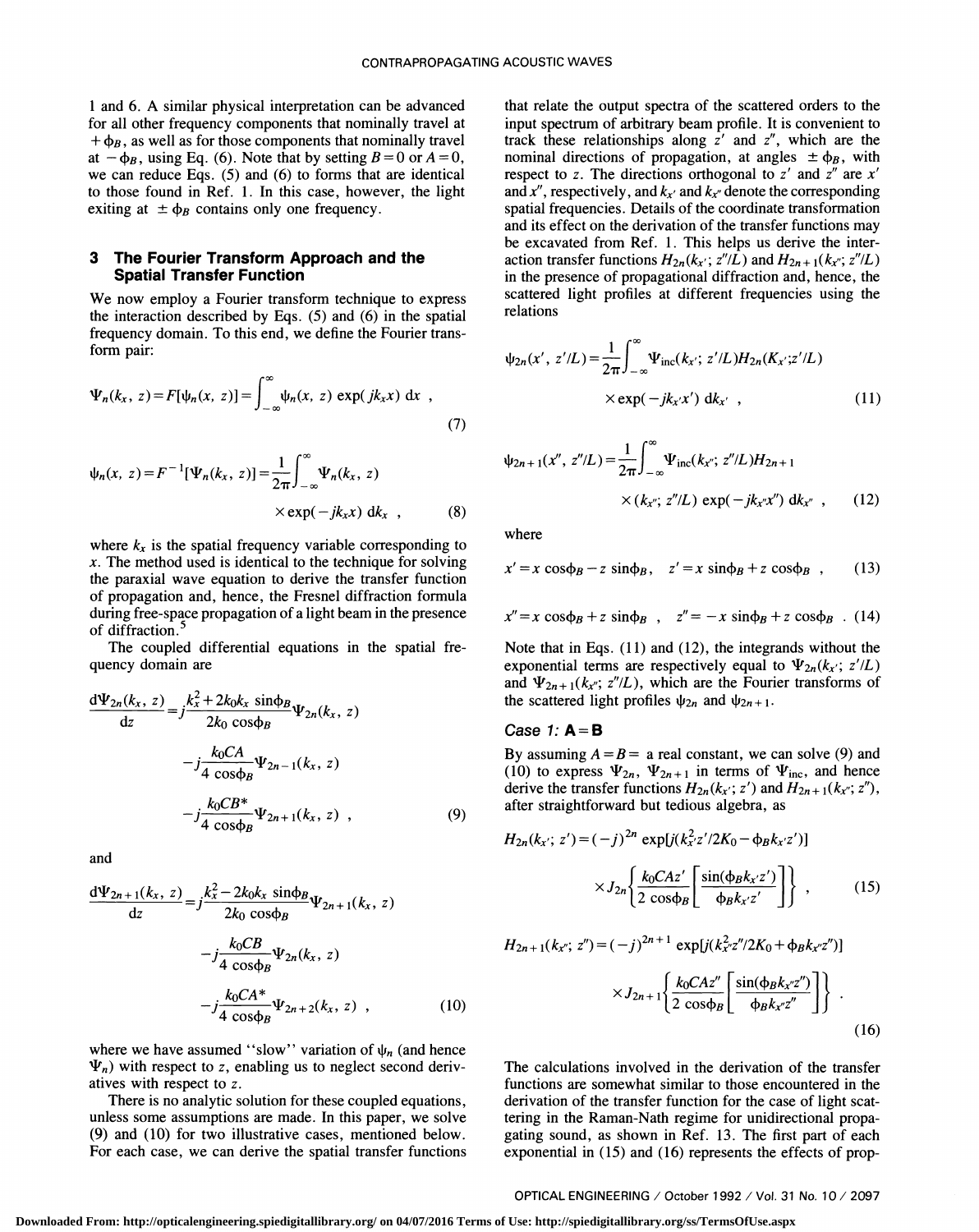1 and 6. A similar physical interpretation can be advanced for all other frequency components that nominally travel at +  $\phi_B$ , as well as for those components that nominally travel<br>at  $-\phi_B$ , using Eq. (6). Note that by setting  $B = 0$  or  $A = 0$ , we can reduce Eqs. (5) and (6) to forms that are identical to those found in Ref. 1 . In this case, however, the light exiting at  $\pm \phi_B$  contains only one frequency.

### 3 The Fourier Transform Approach and the Spatial Transfer Function

We now employ a Fourier transform technique to express the interaction described by Eqs. (5) and (6) in the spatial frequency domain. To this end, we define the Fourier transform pair:

$$
\Psi_n(k_x, z) = F[\psi_n(x, z)] = \int_{-\infty}^{\infty} \psi_n(x, z) \exp(jk_x x) dx ,
$$
\n(7)

$$
\psi_n(x, z) = F^{-1}[\Psi_n(k_x, z)] = \frac{1}{2\pi} \int_{-\infty}^{\infty} \Psi_n(k_x, z)
$$
\n
$$
\times \exp(-jk_x x) \, dk_x \quad , \tag{8}
$$

where  $k_x$  is the spatial frequency variable corresponding to  $x$ . The method used is identical to the technique for solving the paraxial wave equation to derive the transfer function of propagation and, hence, the Fresnel diffraction formula during free-space propagation of a light beam in the presence of diffraction.<sup>5</sup>

The coupled differential equations in the spatial frequency domain are

$$
\frac{d\Psi_{2n}(k_x, z)}{dz} = j \frac{k_x^2 + 2k_0k_x \sin\phi_B}{2k_0 \cos\phi_B} \Psi_{2n}(k_x, z)
$$
\n
$$
-j \frac{k_0 CA}{4 \cos\phi_B} \Psi_{2n-1}(k_x, z)
$$
\n
$$
-j \frac{k_0 CB^*}{4 \cos\phi_B} \Psi_{2n+1}(k_x, z) ,
$$
\n(9)

and

$$
\frac{d\Psi_{2n+1}(k_{x}, z)}{dz} = j\frac{k_{x}^{2} - 2k_{0}k_{x} \sin\phi_{B}}{2k_{0} \cos\phi_{B}} \Psi_{2n+1}(k_{x}, z)
$$

$$
-j\frac{k_{0}CB}{4 \cos\phi_{B}} \Psi_{2n}(k_{x}, z)
$$

$$
-j\frac{k_{0}CA^{*}}{4 \cos\phi_{B}} \Psi_{2n+2}(k_{x}, z) , \qquad (10)
$$

where we have assumed "slow" variation of  $\psi_n$  (and hence  $\Psi_n$ ) with respect to z, enabling us to neglect second derivatiyes with respect to z.

There is no analytic solution for these coupled equations, unless some assumptions are made. In this paper, we solve (9) and (10) for two illustrative cases, mentioned below. For each case, we can derive the spatial transfer functions that relate the output spectra of the scattered orders to the input spectrum of arbitrary beam profile. It is convenient to track these relationships along  $\overline{z}'$  and  $\overline{z}''$ , which are the nominal directions of propagation, at angles  $\pm \phi_B$ , with respect to z. The directions orthogonal to  $z'$  and  $z''$  are  $x'$ and x'', respectively, and  $k_{x'}$  and  $k_{y''}$  denote the corresponding spatial frequencies. Details of the coordinate transformation and its effect on the derivation of the transfer functions may be excavated from Ref. 1. This helps us derive the interaction transfer functions  $H_{2n}(k_{x}$ ;  $z''/L$ ) and  $H_{2n+1}(k_{x}$ ;  $z''/L)$ in the presence of propagational diffraction and, hence, the scattered light profiles at different frequencies using the relations

$$
\psi_{2n}(x', z'/L) = \frac{1}{2\pi} \int_{-\infty}^{\infty} \Psi_{\text{inc}}(k_{x}; z'/L) H_{2n}(K_{x}; z'/L)
$$

$$
\times \exp(-jk_{x'}x') \, \mathrm{d}k_{x'}, \qquad (11)
$$

$$
\psi_{2n+1}(x'', z''/L) = \frac{1}{2\pi} \int_{-\infty}^{\infty} \Psi_{\text{inc}}(k_{x''}; z''/L) H_{2n+1}
$$
  
×  $(k_{x''}; z''/L) \exp(-jk_{x''}x'') dk_{x''}$ , (12)

where

$$
x' = x \cos\phi_B - z \sin\phi_B, \quad z' = x \sin\phi_B + z \cos\phi_B \quad (13)
$$

$$
x'' = x \cos \phi_B + z \sin \phi_B , \quad z'' = -x \sin \phi_B + z \cos \phi_B .
$$
 (14)

Note that in Eqs. (11) and (12), the integrands without the exponential terms are respectively equal to  $\Psi_{2n}(k_x; z'/L)$ and  $\Psi_{2n+1}(k_{x}$ ;  $z''/L)$ , which are the Fourier transforms of the scattered light profiles  $\psi_{2n}$  and  $\psi_{2n+1}$ .

#### Case 1:  $A = B$

By assuming  $A = B =$  a real constant, we can solve (9) and (10) to express  $\Psi_{2n}$ ,  $\Psi_{2n+1}$  in terms of  $\Psi_{\text{inc}}$ , and hence derive the transfer functions  $H_{2n}(k_{x}$ ; z') and  $H_{2n+1}(k_{x}$ ; z''), after straightforward but tedious algebra, as

$$
H_{2n}(k_{x}; z') = (-j)^{2n} \exp[j(k_{x'}^{2}z'/2K_{0} - \phi_{B}k_{x'}z')]
$$

$$
\times J_{2n} \left\{ \frac{k_{0}CAz'}{2 \cos \phi_{B}} \left[ \frac{\sin(\phi_{B}k_{x'}z')}{\phi_{B}k_{x'}z'} \right] \right\} ,
$$
 (15)

$$
H_{2n+1}(k_{x''}; z'') = (-j)^{2n+1} \exp[j(k_{x''}^{2}z''/2K_0 + \phi_B k_{x''}z'')]
$$

$$
\times J_{2n+1}\left\{\frac{k_0 C A z''}{2 \cos \phi_B} \left[\frac{\sin(\phi_B k_{x''}z'')}{\phi_B k_{x''}z''}\right]\right\}.
$$
(16)

The calculations involved in the derivation of the transfer functions are somewhat similar to those encountered in the derivation of the transfer function for the case of light scattering in the Raman-Nath regime for unidirectional propagating sound, as shown in Ref. 13 . The first part of each exponential in (15) and (16) represents the effects of prop-

OPTICAL ENGINEERING / October 1 992 / Vol. 31 No. 10/ 2097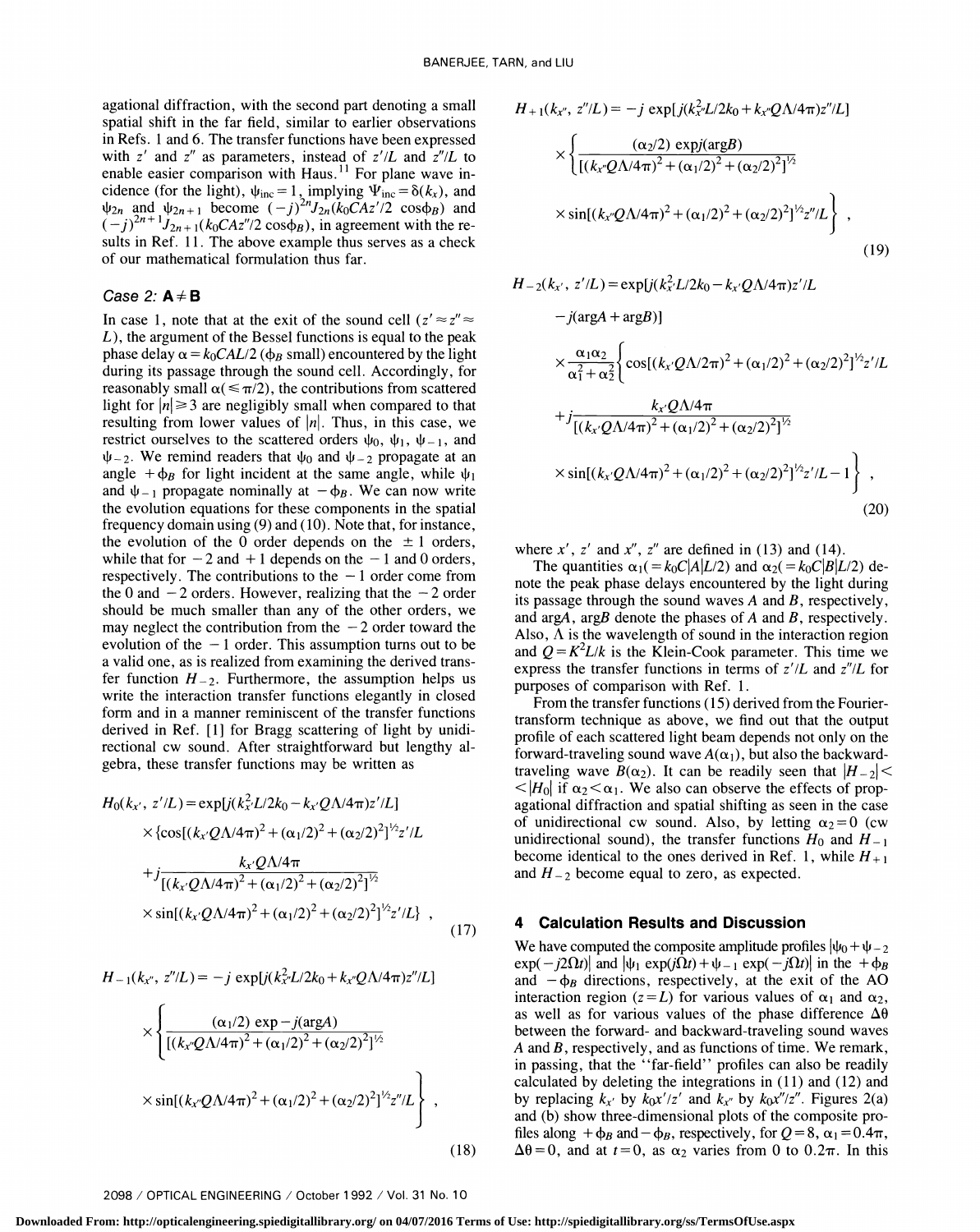agational diffraction, with the second part denoting a small spatial shift in the far field, similar to earlier observations in Refs. 1 and 6. The transfer functions have been expressed with z' and z'' as parameters, instead of  $z'/L$  and  $z''/L$  to enable easier comparison with Haus.<sup>11</sup> For plane wave incidence (for the light),  $\psi_{\text{inc}} = 1$ , implying  $\Psi_{\text{inc}} = \delta(k_x)$ , and  $\psi_{2n}$  and  $\psi_{2n+1}$  become  $(-j)^{2n}J_{2n}(k_0CAz')2 \cos\phi_B$  and  $(-j)^{2n+1}J_{2n+1}(k_0CAz''/2\cos\phi_B)$ , in agreement with the results in Ref. 11. The above example thus serves as a check of our mathematical formulation thus far.

## Case 2:  $A \neq B$

In case 1, note that at the exit of the sound cell  $(z' \approx z'' \approx z'')$  $L$ ), the argument of the Bessel functions is equal to the peak phase delay  $\alpha = k_0CAL/2$  ( $\phi_B$  small) encountered by the light during its passage through the sound cell. Accordingly, for reasonably small  $\alpha (\leq \pi/2)$ , the contributions from scattered light for  $|n| \geq 3$  are negligibly small when compared to that resulting from lower values of  $|n|$ . Thus, in this case, we restrict ourselves to the scattered orders  $\psi_0$ ,  $\psi_1$ ,  $\psi_{-1}$ , and  $\psi$ -2. We remind readers that  $\psi_0$  and  $\psi$ -2 propagate at an angle  $+\phi_B$  for light incident at the same angle, while  $\psi_1$ and  $\psi_{-1}$  propagate nominally at  $-\phi_B$ . We can now write the evolution equations for these components in the spatial frequency domain using (9) and (10). Note that, for instance, the evolution of the 0 order depends on the  $\pm$  1 orders, while that for  $-2$  and  $+1$  depends on the  $-1$  and 0 orders, respectively. The contributions to the  $-1$  order come from the 0 and  $-2$  orders. However, realizing that the  $-2$  order should be much smaller than any of the other orders, we may neglect the contribution from the  $-2$  order toward the<br>Also,  $\Lambda$  is the wavelength of sound in the interaction region evolution of the  $-1$  order. This assumption turns out to be a valid one, as is realized from examining the derived transfer function  $H_{-2}$ . Furthermore, the assumption helps us write the interaction transfer functions elegantly in closed form and in a manner reminiscent of the transfer functions derived in Ref. [<sup>1</sup>] for Bragg scattering of light by unidi- rectional cw sound. After straightforward but lengthy algebra, these transfer functions may be written as

$$
H_0(k_{x'}, z'/L) = \exp[j(k_{x'}^2 L/2k_0 - k_{x'}Q\Lambda/4\pi)z'/L]
$$

$$
H_{-1}(k_{x''}, z''/L) = -j \exp[j(k_{x''}^2L/2k_0 + k_{x''}Q\Lambda/4\pi)z''/L]
$$
  

$$
\times \left\{ \frac{(\alpha_1/2) \exp{-j(\arg A)}}{[(k_{x''}Q\Lambda/4\pi)^2 + (\alpha_1/2)^2 + (\alpha_2/2)^2]^{1/2}} \times \sin[(k_{x''}Q\Lambda/4\pi)^2 + (\alpha_1/2)^2 + (\alpha_2/2)^2]^{1/2}z''/L \right\},
$$
(18)

$$
H_{+1}(k_{x''}, z''/L) = -j \exp[j(k_{x'}^2L/2k_0 + k_{x'}Q\Lambda/4\pi)z''/L]
$$
  
\n
$$
\times \left\{ \frac{(\alpha_2/2) \exp(j\arg B)}{[(k_{x''}Q\Lambda/4\pi)^2 + (\alpha_1/2)^2 + (\alpha_2/2)^2]^{1/2}} \times \sin[(k_{x''}Q\Lambda/4\pi)^2 + (\alpha_1/2)^2 + (\alpha_2/2)^2]^{1/2}z''/L \right\},
$$
\n(19)

$$
H_{-2}(k_{x'}, z'/L) = \exp[j(k_{x'}^2L/2k_0 - k_{x'}Q\Lambda/4\pi)z'/L
$$
  
\n
$$
-j(\arg A + \arg B)]
$$
  
\n
$$
\times \frac{\alpha_1 \alpha_2}{\alpha_1^2 + \alpha_2^2} \Biggl\{ \cos[(k_{x'}Q\Lambda/2\pi)^2 + (\alpha_1/2)^2 + (\alpha_2/2)^2]^{1/2} z'/L
$$
  
\n
$$
+ j \frac{k_{x'}Q\Lambda/4\pi}{[(k_{x'}Q\Lambda/4\pi)^2 + (\alpha_1/2)^2 + (\alpha_2/2)^2]^{1/2}}
$$
  
\n
$$
\times \sin[(k_{x'}Q\Lambda/4\pi)^2 + (\alpha_1/2)^2 + (\alpha_2/2)^2]^{1/2} z'/L - 1 \Biggr\} ,
$$
  
\n(20)

where  $x'$ ,  $z'$  and  $x''$ ,  $z''$  are defined in (13) and (14).

The quantities  $\alpha_1( = k_0C|A|L/2)$  and  $\alpha_2( = k_0C|B|L/2)$  denote the peak phase delays encountered by the light during its passage through the sound waves  $A$  and  $B$ , respectively, and argA, argB denote the phases of  $A$  and  $B$ , respectively. and  $Q = K^2L/k$  is the Klein-Cook parameter. This time we express the transfer functions in terms of  $z'/L$  and  $z''/L$  for purposes of comparison with Ref. 1.

From the transfer functions (15) derived from the Fouriertransform technique as above, we find out that the output profile of each scattered light beam depends not only on the forward-traveling sound wave  $A(\alpha_1)$ , but also the backwardtraveling wave  $B(\alpha_2)$ . It can be readily seen that  $|H_{-2}| <$  $\langle H_0|$  if  $\alpha_2 \langle \alpha_1|$ . We also can observe the effects of propagational diffraction and spatial shifting as seen in the case of unidirectional cw sound. Also, by letting  $\alpha_2 = 0$  (cw unidirectional sound), the transfer functions  $H_0$  and  $H_{-1}$ become identical to the ones derived in Ref. 1, while  $H_{+1}$ and  $H_{-2}$  become equal to zero, as expected.

## 4 Calculation Results and Discussion

We have computed the composite amplitude profiles  $|\psi_0 + \psi_{-2}|$  $|\exp(-j2\Omega t)|$  and  $|\psi_1 \exp(j\Omega t) + \psi_{-1} \exp(-j\Omega t)|$  in the  $+\phi_B$ and  $-\phi_B$  directions, respectively, at the exit of the AO interaction region ( $z = L$ ) for various values of  $\alpha_1$  and  $\alpha_2$ , as well as for various values of the phase difference  $\Delta\theta$ between the forward- and backward-traveling sound waves  $A$  and  $B$ , respectively, and as functions of time. We remark, in passing, that the ''far-field'' profiles can also be readily calculated by deleting the integrations in (11) and (12) and by replacing  $k_{x'}$  by  $k_0x'/z'$  and  $k_{x''}$  by  $k_0x''/z''$ . Figures 2(a) and (b) show three-dimensional plots of the composite profiles along  $+\phi_B$  and  $-\phi_B$ , respectively, for  $Q=8$ ,  $\alpha_1=0.4\pi$ , (18)  $\Delta\theta = 0$ , and at  $t = 0$ , as  $\alpha_2$  varies from 0 to 0.2 $\pi$ . In this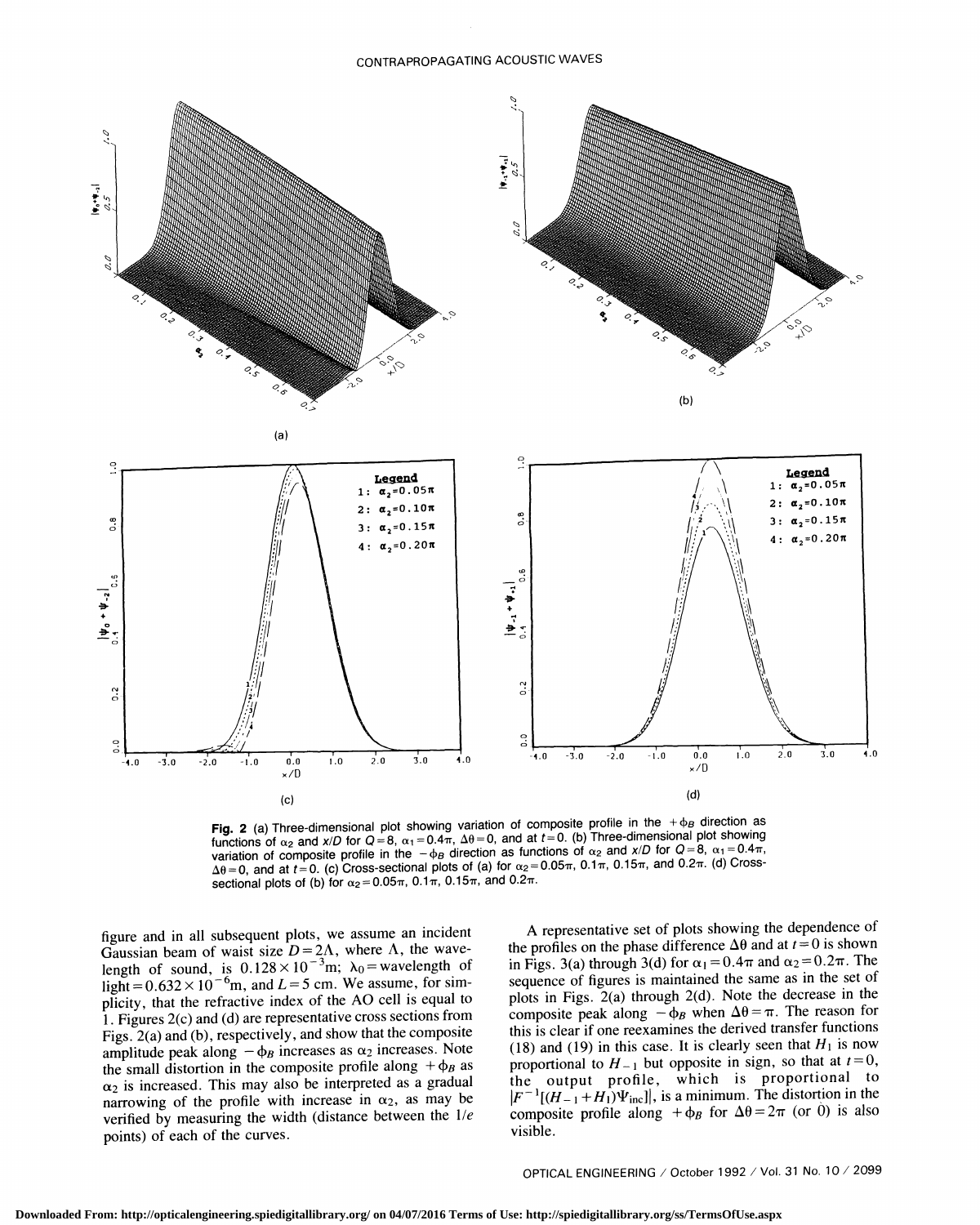

Fig. 2 (a) Three-dimensional plot showing variation of composite profile in the  $+\Phi_B$  direction as functions of  $\alpha_2$  and x/D for  $Q=8$ ,  $\alpha_1=0.4\pi$ ,  $\Delta\theta=0$ , and at  $t=0$ . (b) Three-dimensional plot showing variation of composite profile in the  $-\phi_B$  direction as functions of  $\alpha_2$  and  $x/D$  for  $Q = 8$ ,  $\alpha_1 = 0.4\pi$ ,  $\Delta\theta$  = 0, and at t = 0. (c) Cross-sectional plots of (a) for  $\alpha_2$  = 0.05 $\pi$ , 0.1 $\pi$ , 0.15 $\pi$ , and 0.2 $\pi$ . (d) Crosssectional plots of (b) for  $\alpha_2=0.05\pi$ , 0.1 $\pi$ , 0.15 $\pi$ , and 0.2 $\pi$ .

figure and in all subsequent plots, we assume an incident Gaussian beam of waist size  $D = 2\Lambda$ , where  $\Lambda$ , the wavelength of sound, is  $0.128 \times 10^{-3}$ m;  $\lambda_0$  = wavelength of light =  $0.632 \times 10^{-6}$ m, and L = 5 cm. We assume, for simplicity, that the refractive index of the AO cell is equal to 1 . Figures 2(c) and (d) are representative cross sections from Figs. 2(a) and (b), respectively, and show that the composite amplitude peak along  $-\phi_B$  increases as  $\alpha_2$  increases. Note the small distortion in the composite profile along  $+\phi_B$  as  $\alpha_2$  is increased. This may also be interpreted as a gradual narrowing of the profile with increase in  $\alpha_2$ , as may be verified by measuring the width (distance between the  $1/e$ points) of each of the curves.

A representative set of plots showing the dependence of the profiles on the phase difference  $\Delta\theta$  and at  $t=0$  is shown in Figs. 3(a) through 3(d) for  $\alpha_1 = 0.4\pi$  and  $\alpha_2 = 0.2\pi$ . The sequence of figures is maintained the same as in the setof plots in Figs. 2(a) through 2(d). Note the decrease in the composite peak along  $-\phi_B$  when  $\Delta\theta = \pi$ . The reason for this is clear if one reexamines the derived transfer functions (18) and (19) in this case. It is clearly seen that  $H_1$  is now proportional to  $H_{-1}$  but opposite in sign, so that at  $t=0$ , the output profile, which is proportional to  $|F^{-1}[(H_{-1}+H_1)\Psi_{\text{inc}}]|$ , is a minimum. The distortion in the composite profile along  $+\phi_B$  for  $\Delta\theta = 2\pi$  (or 0) is also visible.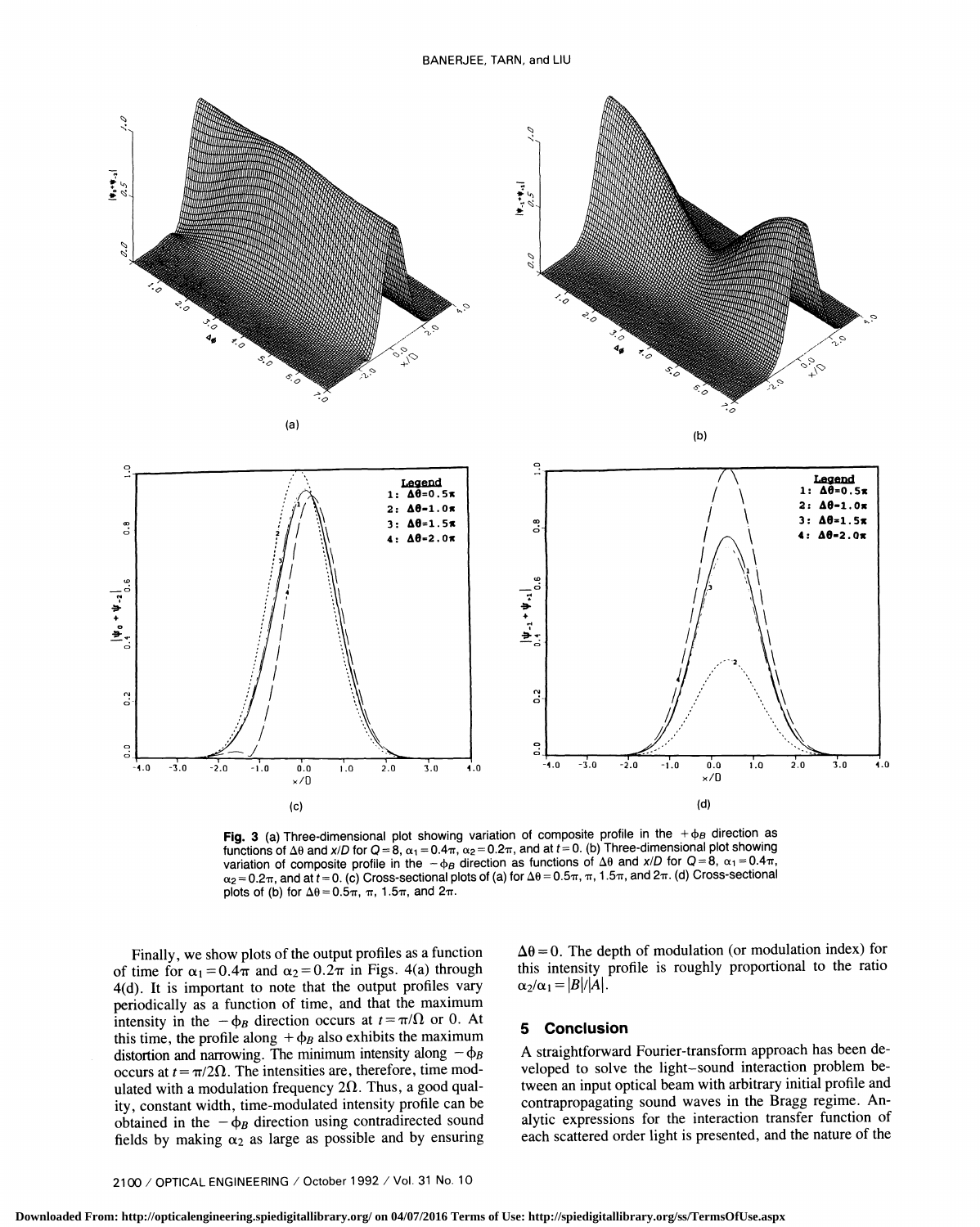

Fig. 3 (a) Three-dimensional plot showing variation of composite profile in the  $+ \varphi_B$  direction as functions of  $\Delta\theta$  and x/D for  $Q = 8$ ,  $\alpha_1 = 0.4\pi$ ,  $\alpha_2 = 0.2\pi$ , and at  $t = 0$ . (b) Three-dimensional plot showing variation of composite profile in the  $-\phi_B$  direction as functions of  $\Delta\theta$  and x/D for Q=8,  $\alpha_1 = 0.4\pi$ ,  $\alpha_2 = 0.2\pi$ , and at  $t = 0$ . (c) Cross-sectional plots of (a) for  $\Delta\theta = 0.5\pi$ ,  $\pi$ , 1.5 $\pi$ , and  $2\pi$ . (d) Cross-sectional plots of (b) for  $\Delta\theta = 0.5\pi$ ,  $\pi$ , 1.5 $\pi$ , and  $2\pi$ .

Finally, we show plots of the output profiles as a function of time for  $\alpha_1 = 0.4\pi$  and  $\alpha_2 = 0.2\pi$  in Figs. 4(a) through 4(d). It is important to note that the output profiles vary periodically as a function of time, and that the maximum intensity in the  $-\phi_B$  direction occurs at  $t=\pi/\Omega$  or 0. At this time, the profile along  $+\phi_B$  also exhibits the maximum distortion and narrowing. The minimum intensity along  $-\phi_B$ occurs at  $t = \pi/2\Omega$ . The intensities are, therefore, time modulated with a modulation frequency  $2\Omega$ . Thus, a good quality, constant width, time-modulated intensity profile can be obtained in the  $-\phi_B$  direction using contradirected sound fields by making  $\alpha_2$  as large as possible and by ensuring  $\Delta\theta = 0$ . The depth of modulation (or modulation index) for this intensity profile is roughly proportional to the ratio  $\alpha_2/\alpha_1 = |B|/|A|$ .

### 5 Conclusion

Astraightforward Fourier-transform approach has been developed to solve the light—sound interaction problem between an input optical beam with arbitrary initial profile and contrapropagating sound waves in the Bragg regime. Analytic expressions for the interaction transfer function of each scattered order light is presented, and the nature of the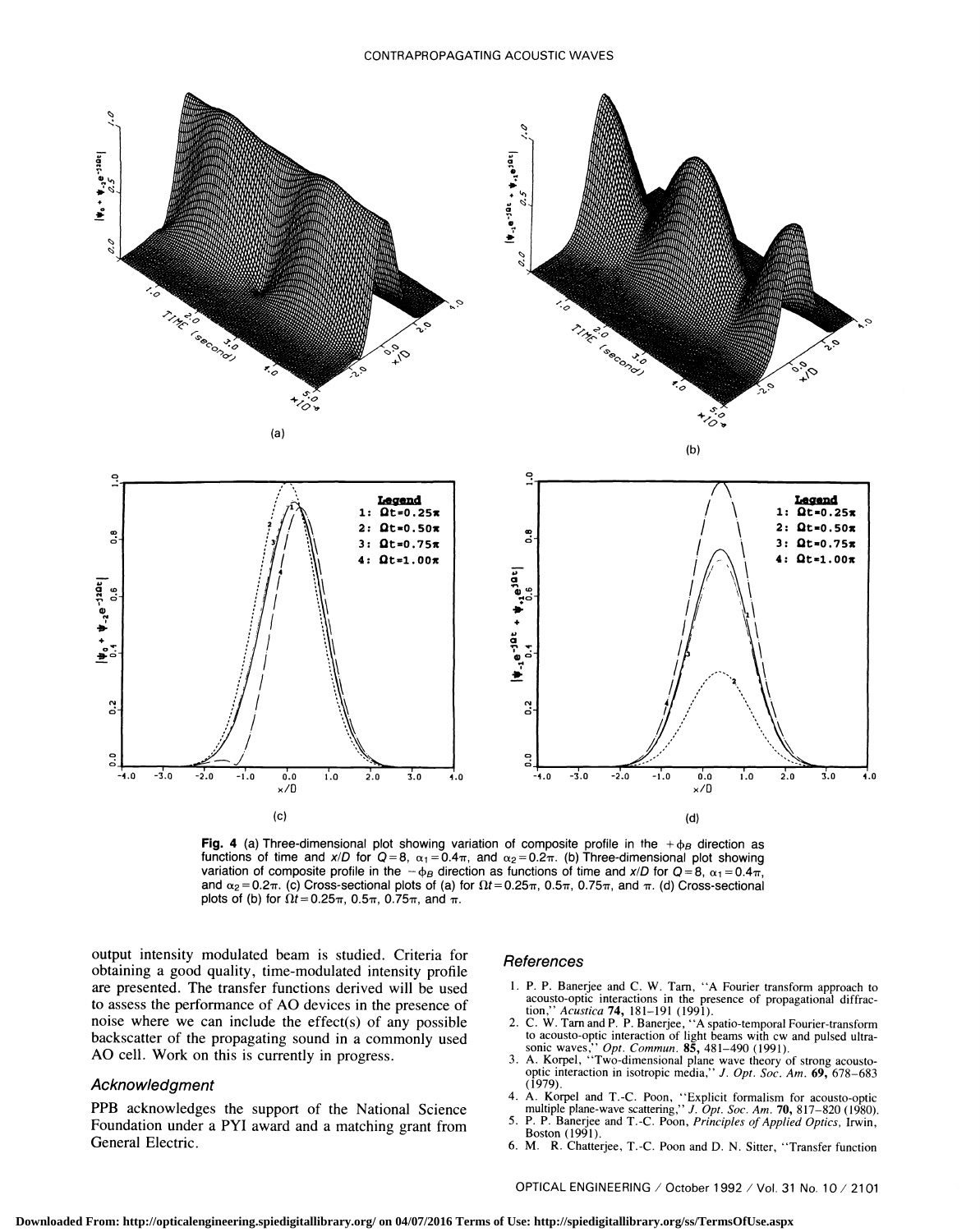

Fig. 4 (a) Three-dimensional plot showing variation of composite profile in the  $+\phi_B$  direction as functions of time and  $x/D$  for  $Q=8$ ,  $\alpha_1=0.4\pi$ , and  $\alpha_2=0.2\pi$ . (b) Three-dimensional plot showing variation of composite profile in the  $-\phi_B$  direction as functions of time and x/D for Q=8,  $\alpha_1 = 0.4\pi$ , and  $\alpha_2=0.2\pi$ . (c) Cross-sectional plots of (a) for  $\Omega t=0.25\pi$ ,  $0.5\pi$ ,  $0.75\pi$ , and  $\pi$ . (d) Cross-sectional plots of (b) for  $\Omega t=0.25\pi$ , 0.5 $\pi$ , 0.75 $\pi$ , and  $\pi$ .

output intensity modulated beam is studied. Criteria for obtaining a good quality, time-modulated intensity profile are presented. The transfer functions derived will be used to assess the performance of AO devices in the presence of noise where we can include the effect(s) of any possible backscatter of the propagating sound in a commonly used AO cell. Work on this is currently in progress.

#### Acknowledgment

PPB acknowledges the support of the National Science<br>Equipment in the Rangel and a method agent from  $\sim$  5. Foundation under a PYI award and a matching grant from  $\frac{5. P. P.$  Banerjee General Electric.

#### References

- 1. P. P. Banerjee and C. W. Tarn, "A Fourier transform approach to acousto-optic interactions in the presence of propagational diffrac-<br>tion," Acustica 74, 181-191 (1991).
- tion," Acustica 74, 181–191 (1991).<br>2. C. W. Tarn and P. P. Banerjee, "A spatio-temporal Fourier-transform to acousto-optic interaction of light beams with cw and pulsed ultrasonic waves," *Opt. Commun.* **85**, 481–490 (1991).<br>3. A. Korpel, "Two-dimensional plane wave theory of strong acousto-optic interaction in isotropic medi
- 
- (1979).<br>
4. A. Korpel and T.-C. Poon, "Explicit formalism for acousto-optic<br>
multiple plane-wave scattering," *J. Opt. Soc. Am.* **70**, 817–820 (1980).
- P. P. Banerjee and T.-C. Poon, Principles of Applied Optics, Irwin,
- 6. M. R. Chatterjee, T. -C. Poon and D. N. Sitter, "Transfer function